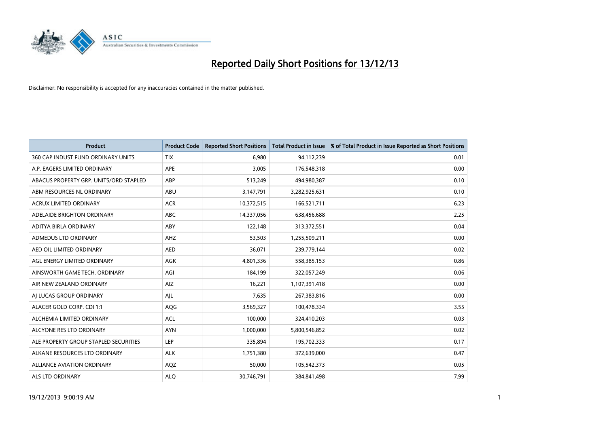

| <b>Product</b>                         | <b>Product Code</b> | <b>Reported Short Positions</b> | <b>Total Product in Issue</b> | % of Total Product in Issue Reported as Short Positions |
|----------------------------------------|---------------------|---------------------------------|-------------------------------|---------------------------------------------------------|
| 360 CAP INDUST FUND ORDINARY UNITS     | <b>TIX</b>          | 6,980                           | 94,112,239                    | 0.01                                                    |
| A.P. EAGERS LIMITED ORDINARY           | APE                 | 3,005                           | 176,548,318                   | 0.00                                                    |
| ABACUS PROPERTY GRP. UNITS/ORD STAPLED | ABP                 | 513,249                         | 494,980,387                   | 0.10                                                    |
| ABM RESOURCES NL ORDINARY              | ABU                 | 3,147,791                       | 3,282,925,631                 | 0.10                                                    |
| <b>ACRUX LIMITED ORDINARY</b>          | <b>ACR</b>          | 10,372,515                      | 166,521,711                   | 6.23                                                    |
| ADELAIDE BRIGHTON ORDINARY             | <b>ABC</b>          | 14,337,056                      | 638,456,688                   | 2.25                                                    |
| <b>ADITYA BIRLA ORDINARY</b>           | <b>ABY</b>          | 122,148                         | 313,372,551                   | 0.04                                                    |
| ADMEDUS LTD ORDINARY                   | AHZ                 | 53,503                          | 1,255,509,211                 | 0.00                                                    |
| AED OIL LIMITED ORDINARY               | <b>AED</b>          | 36,071                          | 239,779,144                   | 0.02                                                    |
| AGL ENERGY LIMITED ORDINARY            | <b>AGK</b>          | 4,801,336                       | 558,385,153                   | 0.86                                                    |
| AINSWORTH GAME TECH. ORDINARY          | AGI                 | 184,199                         | 322,057,249                   | 0.06                                                    |
| AIR NEW ZEALAND ORDINARY               | AIZ                 | 16,221                          | 1,107,391,418                 | 0.00                                                    |
| AI LUCAS GROUP ORDINARY                | AJL                 | 7,635                           | 267,383,816                   | 0.00                                                    |
| ALACER GOLD CORP. CDI 1:1              | AQG                 | 3,569,327                       | 100,478,334                   | 3.55                                                    |
| ALCHEMIA LIMITED ORDINARY              | <b>ACL</b>          | 100,000                         | 324,410,203                   | 0.03                                                    |
| ALCYONE RES LTD ORDINARY               | <b>AYN</b>          | 1,000,000                       | 5,800,546,852                 | 0.02                                                    |
| ALE PROPERTY GROUP STAPLED SECURITIES  | <b>LEP</b>          | 335,894                         | 195,702,333                   | 0.17                                                    |
| ALKANE RESOURCES LTD ORDINARY          | <b>ALK</b>          | 1,751,380                       | 372,639,000                   | 0.47                                                    |
| <b>ALLIANCE AVIATION ORDINARY</b>      | AQZ                 | 50,000                          | 105,542,373                   | 0.05                                                    |
| ALS LTD ORDINARY                       | <b>ALO</b>          | 30,746,791                      | 384, 841, 498                 | 7.99                                                    |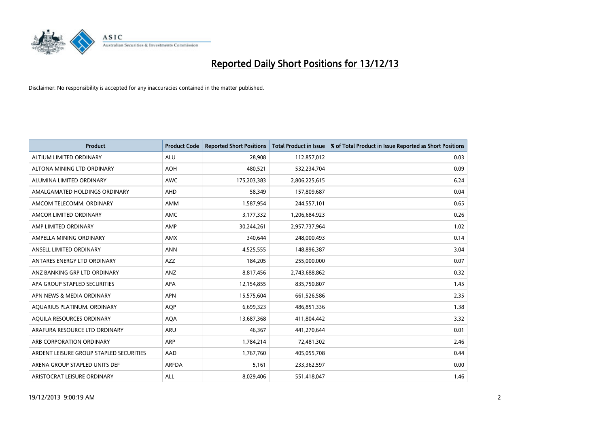

| <b>Product</b>                          | <b>Product Code</b> | <b>Reported Short Positions</b> | <b>Total Product in Issue</b> | % of Total Product in Issue Reported as Short Positions |
|-----------------------------------------|---------------------|---------------------------------|-------------------------------|---------------------------------------------------------|
| ALTIUM LIMITED ORDINARY                 | <b>ALU</b>          | 28,908                          | 112,857,012                   | 0.03                                                    |
| ALTONA MINING LTD ORDINARY              | <b>AOH</b>          | 480,521                         | 532,234,704                   | 0.09                                                    |
| ALUMINA LIMITED ORDINARY                | <b>AWC</b>          | 175,203,383                     | 2,806,225,615                 | 6.24                                                    |
| AMALGAMATED HOLDINGS ORDINARY           | <b>AHD</b>          | 58,349                          | 157,809,687                   | 0.04                                                    |
| AMCOM TELECOMM, ORDINARY                | <b>AMM</b>          | 1,587,954                       | 244,557,101                   | 0.65                                                    |
| AMCOR LIMITED ORDINARY                  | <b>AMC</b>          | 3,177,332                       | 1,206,684,923                 | 0.26                                                    |
| AMP LIMITED ORDINARY                    | AMP                 | 30,244,261                      | 2,957,737,964                 | 1.02                                                    |
| AMPELLA MINING ORDINARY                 | AMX                 | 340,644                         | 248,000,493                   | 0.14                                                    |
| ANSELL LIMITED ORDINARY                 | <b>ANN</b>          | 4,525,555                       | 148,896,387                   | 3.04                                                    |
| ANTARES ENERGY LTD ORDINARY             | AZZ                 | 184,205                         | 255,000,000                   | 0.07                                                    |
| ANZ BANKING GRP LTD ORDINARY            | ANZ                 | 8,817,456                       | 2,743,688,862                 | 0.32                                                    |
| APA GROUP STAPLED SECURITIES            | APA                 | 12,154,855                      | 835,750,807                   | 1.45                                                    |
| APN NEWS & MEDIA ORDINARY               | <b>APN</b>          | 15,575,604                      | 661,526,586                   | 2.35                                                    |
| AQUARIUS PLATINUM. ORDINARY             | <b>AOP</b>          | 6,699,323                       | 486,851,336                   | 1.38                                                    |
| AQUILA RESOURCES ORDINARY               | <b>AQA</b>          | 13,687,368                      | 411,804,442                   | 3.32                                                    |
| ARAFURA RESOURCE LTD ORDINARY           | ARU                 | 46,367                          | 441,270,644                   | 0.01                                                    |
| ARB CORPORATION ORDINARY                | ARP                 | 1,784,214                       | 72,481,302                    | 2.46                                                    |
| ARDENT LEISURE GROUP STAPLED SECURITIES | AAD                 | 1,767,760                       | 405,055,708                   | 0.44                                                    |
| ARENA GROUP STAPLED UNITS DEF           | <b>ARFDA</b>        | 5,161                           | 233,362,597                   | 0.00                                                    |
| ARISTOCRAT LEISURE ORDINARY             | ALL                 | 8,029,406                       | 551,418,047                   | 1.46                                                    |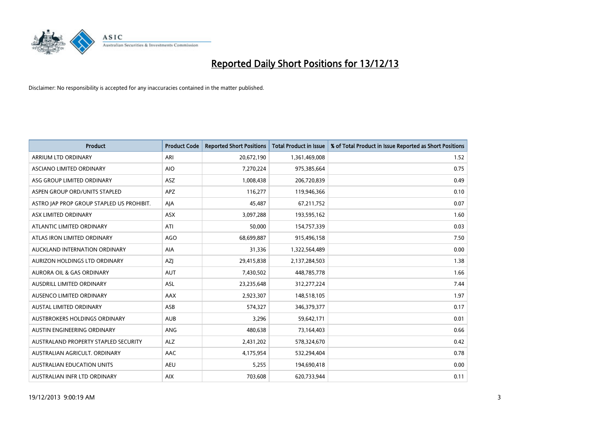

| <b>Product</b>                            | <b>Product Code</b> | <b>Reported Short Positions</b> | <b>Total Product in Issue</b> | % of Total Product in Issue Reported as Short Positions |
|-------------------------------------------|---------------------|---------------------------------|-------------------------------|---------------------------------------------------------|
| ARRIUM LTD ORDINARY                       | ARI                 | 20,672,190                      | 1,361,469,008                 | 1.52                                                    |
| ASCIANO LIMITED ORDINARY                  | <b>AIO</b>          | 7,270,224                       | 975,385,664                   | 0.75                                                    |
| ASG GROUP LIMITED ORDINARY                | <b>ASZ</b>          | 1,008,438                       | 206,720,839                   | 0.49                                                    |
| ASPEN GROUP ORD/UNITS STAPLED             | APZ                 | 116,277                         | 119,946,366                   | 0.10                                                    |
| ASTRO JAP PROP GROUP STAPLED US PROHIBIT. | AJA                 | 45,487                          | 67,211,752                    | 0.07                                                    |
| ASX LIMITED ORDINARY                      | ASX                 | 3,097,288                       | 193,595,162                   | 1.60                                                    |
| ATLANTIC LIMITED ORDINARY                 | ATI                 | 50,000                          | 154,757,339                   | 0.03                                                    |
| ATLAS IRON LIMITED ORDINARY               | <b>AGO</b>          | 68,699,887                      | 915,496,158                   | 7.50                                                    |
| AUCKLAND INTERNATION ORDINARY             | <b>AIA</b>          | 31,336                          | 1,322,564,489                 | 0.00                                                    |
| AURIZON HOLDINGS LTD ORDINARY             | AZI                 | 29,415,838                      | 2,137,284,503                 | 1.38                                                    |
| AURORA OIL & GAS ORDINARY                 | <b>AUT</b>          | 7,430,502                       | 448,785,778                   | 1.66                                                    |
| AUSDRILL LIMITED ORDINARY                 | ASL                 | 23,235,648                      | 312,277,224                   | 7.44                                                    |
| AUSENCO LIMITED ORDINARY                  | AAX                 | 2,923,307                       | 148,518,105                   | 1.97                                                    |
| <b>AUSTAL LIMITED ORDINARY</b>            | ASB                 | 574,327                         | 346,379,377                   | 0.17                                                    |
| AUSTBROKERS HOLDINGS ORDINARY             | <b>AUB</b>          | 3,296                           | 59,642,171                    | 0.01                                                    |
| AUSTIN ENGINEERING ORDINARY               | ANG                 | 480,638                         | 73,164,403                    | 0.66                                                    |
| AUSTRALAND PROPERTY STAPLED SECURITY      | <b>ALZ</b>          | 2,431,202                       | 578,324,670                   | 0.42                                                    |
| AUSTRALIAN AGRICULT. ORDINARY             | AAC                 | 4,175,954                       | 532,294,404                   | 0.78                                                    |
| <b>AUSTRALIAN EDUCATION UNITS</b>         | <b>AEU</b>          | 5,255                           | 194,690,418                   | 0.00                                                    |
| AUSTRALIAN INFR LTD ORDINARY              | <b>AIX</b>          | 703,608                         | 620,733,944                   | 0.11                                                    |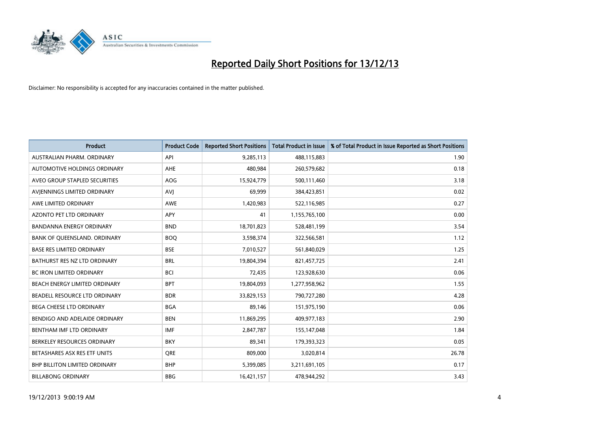

| <b>Product</b>                       | <b>Product Code</b> | <b>Reported Short Positions</b> | <b>Total Product in Issue</b> | % of Total Product in Issue Reported as Short Positions |
|--------------------------------------|---------------------|---------------------------------|-------------------------------|---------------------------------------------------------|
| AUSTRALIAN PHARM, ORDINARY           | API                 | 9,285,113                       | 488,115,883                   | 1.90                                                    |
| AUTOMOTIVE HOLDINGS ORDINARY         | <b>AHE</b>          | 480,984                         | 260,579,682                   | 0.18                                                    |
| AVEO GROUP STAPLED SECURITIES        | <b>AOG</b>          | 15,924,779                      | 500,111,460                   | 3.18                                                    |
| AVIENNINGS LIMITED ORDINARY          | <b>AVI</b>          | 69,999                          | 384,423,851                   | 0.02                                                    |
| AWE LIMITED ORDINARY                 | <b>AWE</b>          | 1,420,983                       | 522,116,985                   | 0.27                                                    |
| <b>AZONTO PET LTD ORDINARY</b>       | <b>APY</b>          | 41                              | 1,155,765,100                 | 0.00                                                    |
| <b>BANDANNA ENERGY ORDINARY</b>      | <b>BND</b>          | 18,701,823                      | 528,481,199                   | 3.54                                                    |
| BANK OF QUEENSLAND. ORDINARY         | <b>BOQ</b>          | 3,598,374                       | 322,566,581                   | 1.12                                                    |
| <b>BASE RES LIMITED ORDINARY</b>     | <b>BSE</b>          | 7,010,527                       | 561,840,029                   | 1.25                                                    |
| BATHURST RES NZ LTD ORDINARY         | <b>BRL</b>          | 19,804,394                      | 821,457,725                   | 2.41                                                    |
| BC IRON LIMITED ORDINARY             | <b>BCI</b>          | 72,435                          | 123,928,630                   | 0.06                                                    |
| BEACH ENERGY LIMITED ORDINARY        | <b>BPT</b>          | 19,804,093                      | 1,277,958,962                 | 1.55                                                    |
| BEADELL RESOURCE LTD ORDINARY        | <b>BDR</b>          | 33,829,153                      | 790,727,280                   | 4.28                                                    |
| <b>BEGA CHEESE LTD ORDINARY</b>      | <b>BGA</b>          | 89,146                          | 151,975,190                   | 0.06                                                    |
| BENDIGO AND ADELAIDE ORDINARY        | <b>BEN</b>          | 11,869,295                      | 409,977,183                   | 2.90                                                    |
| BENTHAM IMF LTD ORDINARY             | <b>IMF</b>          | 2,847,787                       | 155,147,048                   | 1.84                                                    |
| BERKELEY RESOURCES ORDINARY          | <b>BKY</b>          | 89,341                          | 179,393,323                   | 0.05                                                    |
| BETASHARES ASX RES ETF UNITS         | <b>ORE</b>          | 809,000                         | 3,020,814                     | 26.78                                                   |
| <b>BHP BILLITON LIMITED ORDINARY</b> | <b>BHP</b>          | 5,399,085                       | 3,211,691,105                 | 0.17                                                    |
| <b>BILLABONG ORDINARY</b>            | <b>BBG</b>          | 16,421,157                      | 478,944,292                   | 3.43                                                    |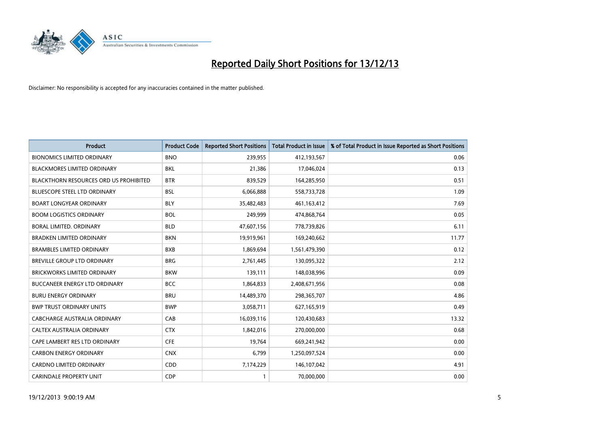

| <b>Product</b>                                | <b>Product Code</b> | <b>Reported Short Positions</b> | <b>Total Product in Issue</b> | % of Total Product in Issue Reported as Short Positions |
|-----------------------------------------------|---------------------|---------------------------------|-------------------------------|---------------------------------------------------------|
| <b>BIONOMICS LIMITED ORDINARY</b>             | <b>BNO</b>          | 239,955                         | 412,193,567                   | 0.06                                                    |
| BLACKMORES LIMITED ORDINARY                   | <b>BKL</b>          | 21,386                          | 17,046,024                    | 0.13                                                    |
| <b>BLACKTHORN RESOURCES ORD US PROHIBITED</b> | <b>BTR</b>          | 839,529                         | 164,285,950                   | 0.51                                                    |
| <b>BLUESCOPE STEEL LTD ORDINARY</b>           | <b>BSL</b>          | 6,066,888                       | 558,733,728                   | 1.09                                                    |
| <b>BOART LONGYEAR ORDINARY</b>                | <b>BLY</b>          | 35,482,483                      | 461,163,412                   | 7.69                                                    |
| <b>BOOM LOGISTICS ORDINARY</b>                | <b>BOL</b>          | 249,999                         | 474,868,764                   | 0.05                                                    |
| <b>BORAL LIMITED, ORDINARY</b>                | <b>BLD</b>          | 47,607,156                      | 778,739,826                   | 6.11                                                    |
| <b>BRADKEN LIMITED ORDINARY</b>               | <b>BKN</b>          | 19,919,961                      | 169,240,662                   | 11.77                                                   |
| <b>BRAMBLES LIMITED ORDINARY</b>              | <b>BXB</b>          | 1,869,694                       | 1,561,479,390                 | 0.12                                                    |
| <b>BREVILLE GROUP LTD ORDINARY</b>            | <b>BRG</b>          | 2,761,445                       | 130,095,322                   | 2.12                                                    |
| <b>BRICKWORKS LIMITED ORDINARY</b>            | <b>BKW</b>          | 139,111                         | 148,038,996                   | 0.09                                                    |
| <b>BUCCANEER ENERGY LTD ORDINARY</b>          | <b>BCC</b>          | 1,864,833                       | 2,408,671,956                 | 0.08                                                    |
| <b>BURU ENERGY ORDINARY</b>                   | <b>BRU</b>          | 14,489,370                      | 298,365,707                   | 4.86                                                    |
| <b>BWP TRUST ORDINARY UNITS</b>               | <b>BWP</b>          | 3,058,711                       | 627,165,919                   | 0.49                                                    |
| <b>CABCHARGE AUSTRALIA ORDINARY</b>           | CAB                 | 16,039,116                      | 120,430,683                   | 13.32                                                   |
| CALTEX AUSTRALIA ORDINARY                     | <b>CTX</b>          | 1,842,016                       | 270,000,000                   | 0.68                                                    |
| CAPE LAMBERT RES LTD ORDINARY                 | <b>CFE</b>          | 19,764                          | 669,241,942                   | 0.00                                                    |
| <b>CARBON ENERGY ORDINARY</b>                 | <b>CNX</b>          | 6,799                           | 1,250,097,524                 | 0.00                                                    |
| <b>CARDNO LIMITED ORDINARY</b>                | CDD                 | 7,174,229                       | 146, 107, 042                 | 4.91                                                    |
| <b>CARINDALE PROPERTY UNIT</b>                | <b>CDP</b>          |                                 | 70,000,000                    | 0.00                                                    |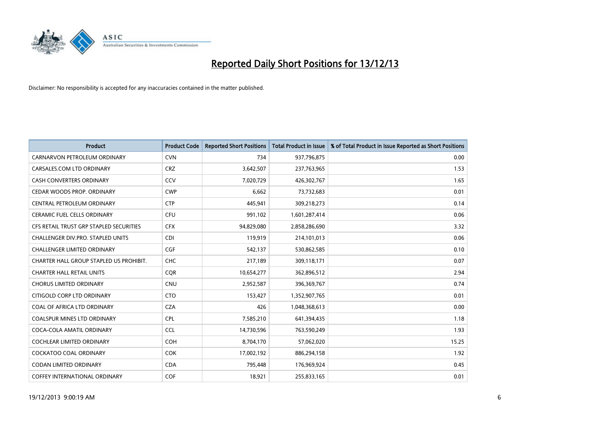

| <b>Product</b>                          | <b>Product Code</b> | <b>Reported Short Positions</b> | <b>Total Product in Issue</b> | % of Total Product in Issue Reported as Short Positions |
|-----------------------------------------|---------------------|---------------------------------|-------------------------------|---------------------------------------------------------|
| CARNARVON PETROLEUM ORDINARY            | <b>CVN</b>          | 734                             | 937,796,875                   | 0.00                                                    |
| CARSALES.COM LTD ORDINARY               | <b>CRZ</b>          | 3,642,507                       | 237,763,965                   | 1.53                                                    |
| <b>CASH CONVERTERS ORDINARY</b>         | CCV                 | 7,020,729                       | 426,302,767                   | 1.65                                                    |
| CEDAR WOODS PROP. ORDINARY              | <b>CWP</b>          | 6,662                           | 73,732,683                    | 0.01                                                    |
| CENTRAL PETROLEUM ORDINARY              | <b>CTP</b>          | 445,941                         | 309,218,273                   | 0.14                                                    |
| <b>CERAMIC FUEL CELLS ORDINARY</b>      | <b>CFU</b>          | 991,102                         | 1,601,287,414                 | 0.06                                                    |
| CFS RETAIL TRUST GRP STAPLED SECURITIES | <b>CFX</b>          | 94,829,080                      | 2,858,286,690                 | 3.32                                                    |
| CHALLENGER DIV.PRO. STAPLED UNITS       | <b>CDI</b>          | 119,919                         | 214,101,013                   | 0.06                                                    |
| <b>CHALLENGER LIMITED ORDINARY</b>      | <b>CGF</b>          | 542,137                         | 530,862,585                   | 0.10                                                    |
| CHARTER HALL GROUP STAPLED US PROHIBIT. | <b>CHC</b>          | 217,189                         | 309,118,171                   | 0.07                                                    |
| <b>CHARTER HALL RETAIL UNITS</b>        | <b>CQR</b>          | 10,654,277                      | 362,896,512                   | 2.94                                                    |
| <b>CHORUS LIMITED ORDINARY</b>          | <b>CNU</b>          | 2,952,587                       | 396,369,767                   | 0.74                                                    |
| CITIGOLD CORP LTD ORDINARY              | <b>CTO</b>          | 153,427                         | 1,352,907,765                 | 0.01                                                    |
| COAL OF AFRICA LTD ORDINARY             | <b>CZA</b>          | 426                             | 1,048,368,613                 | 0.00                                                    |
| <b>COALSPUR MINES LTD ORDINARY</b>      | <b>CPL</b>          | 7,585,210                       | 641,394,435                   | 1.18                                                    |
| COCA-COLA AMATIL ORDINARY               | <b>CCL</b>          | 14,730,596                      | 763,590,249                   | 1.93                                                    |
| COCHLEAR LIMITED ORDINARY               | <b>COH</b>          | 8,704,170                       | 57,062,020                    | 15.25                                                   |
| <b>COCKATOO COAL ORDINARY</b>           | COK                 | 17,002,192                      | 886,294,158                   | 1.92                                                    |
| <b>CODAN LIMITED ORDINARY</b>           | <b>CDA</b>          | 795,448                         | 176,969,924                   | 0.45                                                    |
| COFFEY INTERNATIONAL ORDINARY           | <b>COF</b>          | 18,921                          | 255,833,165                   | 0.01                                                    |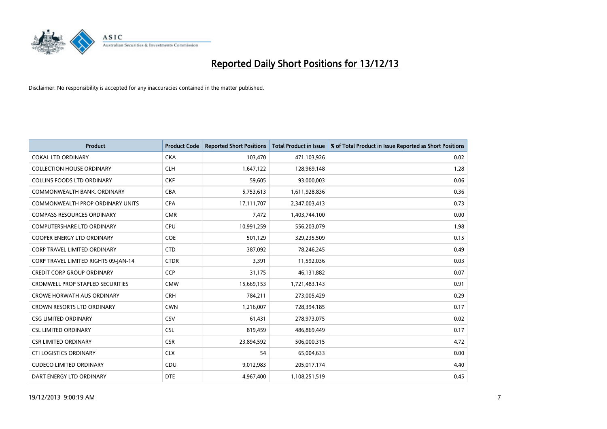

| <b>Product</b>                          | <b>Product Code</b> | <b>Reported Short Positions</b> | <b>Total Product in Issue</b> | % of Total Product in Issue Reported as Short Positions |
|-----------------------------------------|---------------------|---------------------------------|-------------------------------|---------------------------------------------------------|
| <b>COKAL LTD ORDINARY</b>               | <b>CKA</b>          | 103,470                         | 471,103,926                   | 0.02                                                    |
| <b>COLLECTION HOUSE ORDINARY</b>        | <b>CLH</b>          | 1,647,122                       | 128,969,148                   | 1.28                                                    |
| <b>COLLINS FOODS LTD ORDINARY</b>       | <b>CKF</b>          | 59,605                          | 93,000,003                    | 0.06                                                    |
| COMMONWEALTH BANK, ORDINARY             | <b>CBA</b>          | 5,753,613                       | 1,611,928,836                 | 0.36                                                    |
| <b>COMMONWEALTH PROP ORDINARY UNITS</b> | <b>CPA</b>          | 17,111,707                      | 2,347,003,413                 | 0.73                                                    |
| <b>COMPASS RESOURCES ORDINARY</b>       | <b>CMR</b>          | 7,472                           | 1,403,744,100                 | 0.00                                                    |
| <b>COMPUTERSHARE LTD ORDINARY</b>       | <b>CPU</b>          | 10,991,259                      | 556,203,079                   | 1.98                                                    |
| <b>COOPER ENERGY LTD ORDINARY</b>       | <b>COE</b>          | 501,129                         | 329,235,509                   | 0.15                                                    |
| <b>CORP TRAVEL LIMITED ORDINARY</b>     | <b>CTD</b>          | 387,092                         | 78,246,245                    | 0.49                                                    |
| CORP TRAVEL LIMITED RIGHTS 09-JAN-14    | <b>CTDR</b>         | 3,391                           | 11,592,036                    | 0.03                                                    |
| <b>CREDIT CORP GROUP ORDINARY</b>       | <b>CCP</b>          | 31,175                          | 46,131,882                    | 0.07                                                    |
| <b>CROMWELL PROP STAPLED SECURITIES</b> | <b>CMW</b>          | 15,669,153                      | 1,721,483,143                 | 0.91                                                    |
| <b>CROWE HORWATH AUS ORDINARY</b>       | <b>CRH</b>          | 784,211                         | 273,005,429                   | 0.29                                                    |
| <b>CROWN RESORTS LTD ORDINARY</b>       | <b>CWN</b>          | 1,216,007                       | 728,394,185                   | 0.17                                                    |
| <b>CSG LIMITED ORDINARY</b>             | CSV                 | 61,431                          | 278,973,075                   | 0.02                                                    |
| <b>CSL LIMITED ORDINARY</b>             | <b>CSL</b>          | 819,459                         | 486,869,449                   | 0.17                                                    |
| <b>CSR LIMITED ORDINARY</b>             | <b>CSR</b>          | 23,894,592                      | 506,000,315                   | 4.72                                                    |
| <b>CTI LOGISTICS ORDINARY</b>           | <b>CLX</b>          | 54                              | 65,004,633                    | 0.00                                                    |
| <b>CUDECO LIMITED ORDINARY</b>          | CDU                 | 9,012,983                       | 205,017,174                   | 4.40                                                    |
| DART ENERGY LTD ORDINARY                | <b>DTE</b>          | 4,967,400                       | 1,108,251,519                 | 0.45                                                    |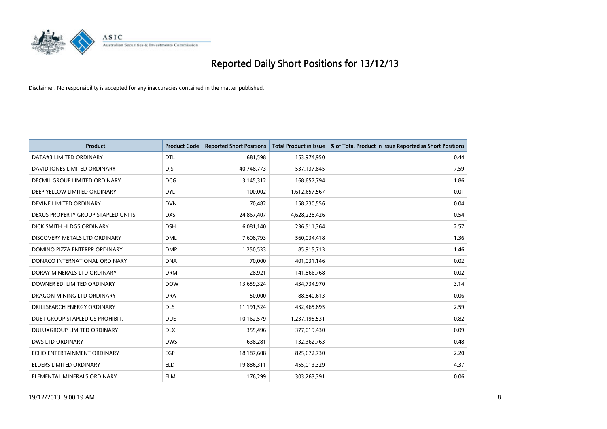

| <b>Product</b>                     | <b>Product Code</b> | <b>Reported Short Positions</b> | <b>Total Product in Issue</b> | % of Total Product in Issue Reported as Short Positions |
|------------------------------------|---------------------|---------------------------------|-------------------------------|---------------------------------------------------------|
| DATA#3 LIMITED ORDINARY            | <b>DTL</b>          | 681,598                         | 153,974,950                   | 0.44                                                    |
| DAVID JONES LIMITED ORDINARY       | <b>DIS</b>          | 40,748,773                      | 537,137,845                   | 7.59                                                    |
| DECMIL GROUP LIMITED ORDINARY      | <b>DCG</b>          | 3,145,312                       | 168,657,794                   | 1.86                                                    |
| DEEP YELLOW LIMITED ORDINARY       | <b>DYL</b>          | 100,002                         | 1,612,657,567                 | 0.01                                                    |
| DEVINE LIMITED ORDINARY            | <b>DVN</b>          | 70,482                          | 158,730,556                   | 0.04                                                    |
| DEXUS PROPERTY GROUP STAPLED UNITS | <b>DXS</b>          | 24,867,407                      | 4,628,228,426                 | 0.54                                                    |
| DICK SMITH HLDGS ORDINARY          | <b>DSH</b>          | 6,081,140                       | 236,511,364                   | 2.57                                                    |
| DISCOVERY METALS LTD ORDINARY      | <b>DML</b>          | 7,608,793                       | 560,034,418                   | 1.36                                                    |
| DOMINO PIZZA ENTERPR ORDINARY      | <b>DMP</b>          | 1,250,533                       | 85,915,713                    | 1.46                                                    |
| DONACO INTERNATIONAL ORDINARY      | <b>DNA</b>          | 70,000                          | 401,031,146                   | 0.02                                                    |
| DORAY MINERALS LTD ORDINARY        | <b>DRM</b>          | 28,921                          | 141,866,768                   | 0.02                                                    |
| DOWNER EDI LIMITED ORDINARY        | <b>DOW</b>          | 13,659,324                      | 434,734,970                   | 3.14                                                    |
| DRAGON MINING LTD ORDINARY         | <b>DRA</b>          | 50,000                          | 88,840,613                    | 0.06                                                    |
| DRILLSEARCH ENERGY ORDINARY        | <b>DLS</b>          | 11,191,524                      | 432,465,895                   | 2.59                                                    |
| DUET GROUP STAPLED US PROHIBIT.    | <b>DUE</b>          | 10,162,579                      | 1,237,195,531                 | 0.82                                                    |
| DULUXGROUP LIMITED ORDINARY        | <b>DLX</b>          | 355,496                         | 377,019,430                   | 0.09                                                    |
| <b>DWS LTD ORDINARY</b>            | <b>DWS</b>          | 638,281                         | 132,362,763                   | 0.48                                                    |
| ECHO ENTERTAINMENT ORDINARY        | <b>EGP</b>          | 18,187,608                      | 825,672,730                   | 2.20                                                    |
| <b>ELDERS LIMITED ORDINARY</b>     | <b>ELD</b>          | 19,886,311                      | 455,013,329                   | 4.37                                                    |
| ELEMENTAL MINERALS ORDINARY        | <b>ELM</b>          | 176,299                         | 303,263,391                   | 0.06                                                    |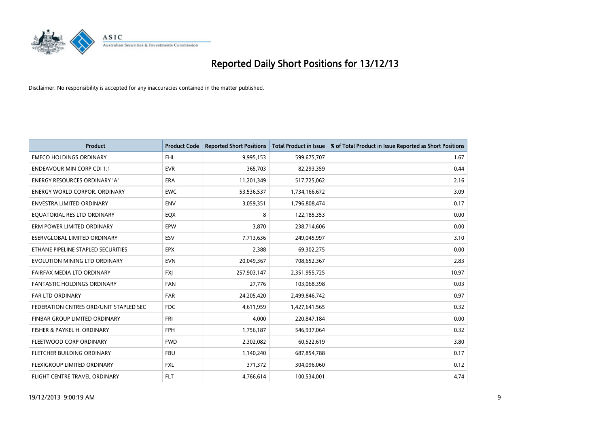

| <b>Product</b>                         | <b>Product Code</b> | <b>Reported Short Positions</b> | <b>Total Product in Issue</b> | % of Total Product in Issue Reported as Short Positions |
|----------------------------------------|---------------------|---------------------------------|-------------------------------|---------------------------------------------------------|
| <b>EMECO HOLDINGS ORDINARY</b>         | <b>EHL</b>          | 9,995,153                       | 599,675,707                   | 1.67                                                    |
| <b>ENDEAVOUR MIN CORP CDI 1:1</b>      | <b>EVR</b>          | 365,703                         | 82,293,359                    | 0.44                                                    |
| <b>ENERGY RESOURCES ORDINARY 'A'</b>   | <b>ERA</b>          | 11,201,349                      | 517,725,062                   | 2.16                                                    |
| <b>ENERGY WORLD CORPOR, ORDINARY</b>   | <b>EWC</b>          | 53,536,537                      | 1,734,166,672                 | 3.09                                                    |
| <b>ENVESTRA LIMITED ORDINARY</b>       | <b>ENV</b>          | 3,059,351                       | 1,796,808,474                 | 0.17                                                    |
| EQUATORIAL RES LTD ORDINARY            | EQX                 | 8                               | 122,185,353                   | 0.00                                                    |
| ERM POWER LIMITED ORDINARY             | <b>EPW</b>          | 3,870                           | 238,714,606                   | 0.00                                                    |
| ESERVGLOBAL LIMITED ORDINARY           | ESV                 | 7,713,636                       | 249,045,997                   | 3.10                                                    |
| ETHANE PIPELINE STAPLED SECURITIES     | <b>EPX</b>          | 2,388                           | 69,302,275                    | 0.00                                                    |
| EVOLUTION MINING LTD ORDINARY          | <b>EVN</b>          | 20,049,367                      | 708,652,367                   | 2.83                                                    |
| FAIRFAX MEDIA LTD ORDINARY             | <b>FXI</b>          | 257,903,147                     | 2,351,955,725                 | 10.97                                                   |
| <b>FANTASTIC HOLDINGS ORDINARY</b>     | FAN                 | 27,776                          | 103,068,398                   | 0.03                                                    |
| <b>FAR LTD ORDINARY</b>                | <b>FAR</b>          | 24,205,420                      | 2,499,846,742                 | 0.97                                                    |
| FEDERATION CNTRES ORD/UNIT STAPLED SEC | <b>FDC</b>          | 4,611,959                       | 1,427,641,565                 | 0.32                                                    |
| FINBAR GROUP LIMITED ORDINARY          | <b>FRI</b>          | 4,000                           | 220,847,184                   | 0.00                                                    |
| FISHER & PAYKEL H. ORDINARY            | <b>FPH</b>          | 1,756,187                       | 546,937,064                   | 0.32                                                    |
| FLEETWOOD CORP ORDINARY                | <b>FWD</b>          | 2,302,082                       | 60,522,619                    | 3.80                                                    |
| FLETCHER BUILDING ORDINARY             | <b>FBU</b>          | 1,140,240                       | 687,854,788                   | 0.17                                                    |
| FLEXIGROUP LIMITED ORDINARY            | <b>FXL</b>          | 371,372                         | 304,096,060                   | 0.12                                                    |
| FLIGHT CENTRE TRAVEL ORDINARY          | <b>FLT</b>          | 4,766,614                       | 100,534,001                   | 4.74                                                    |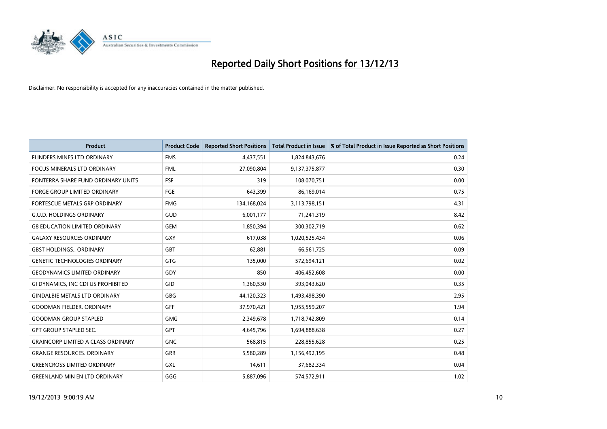

| <b>Product</b>                            | <b>Product Code</b> | <b>Reported Short Positions</b> | <b>Total Product in Issue</b> | % of Total Product in Issue Reported as Short Positions |
|-------------------------------------------|---------------------|---------------------------------|-------------------------------|---------------------------------------------------------|
| FLINDERS MINES LTD ORDINARY               | <b>FMS</b>          | 4,437,551                       | 1,824,843,676                 | 0.24                                                    |
| <b>FOCUS MINERALS LTD ORDINARY</b>        | <b>FML</b>          | 27,090,804                      | 9,137,375,877                 | 0.30                                                    |
| FONTERRA SHARE FUND ORDINARY UNITS        | <b>FSF</b>          | 319                             | 108,070,751                   | 0.00                                                    |
| <b>FORGE GROUP LIMITED ORDINARY</b>       | <b>FGE</b>          | 643,399                         | 86,169,014                    | 0.75                                                    |
| <b>FORTESCUE METALS GRP ORDINARY</b>      | <b>FMG</b>          | 134,168,024                     | 3,113,798,151                 | 4.31                                                    |
| <b>G.U.D. HOLDINGS ORDINARY</b>           | GUD                 | 6,001,177                       | 71,241,319                    | 8.42                                                    |
| <b>G8 EDUCATION LIMITED ORDINARY</b>      | <b>GEM</b>          | 1,850,394                       | 300,302,719                   | 0.62                                                    |
| <b>GALAXY RESOURCES ORDINARY</b>          | <b>GXY</b>          | 617,038                         | 1,020,525,434                 | 0.06                                                    |
| <b>GBST HOLDINGS., ORDINARY</b>           | <b>GBT</b>          | 62,881                          | 66,561,725                    | 0.09                                                    |
| <b>GENETIC TECHNOLOGIES ORDINARY</b>      | <b>GTG</b>          | 135,000                         | 572,694,121                   | 0.02                                                    |
| <b>GEODYNAMICS LIMITED ORDINARY</b>       | GDY                 | 850                             | 406,452,608                   | 0.00                                                    |
| GI DYNAMICS, INC CDI US PROHIBITED        | GID                 | 1,360,530                       | 393,043,620                   | 0.35                                                    |
| <b>GINDALBIE METALS LTD ORDINARY</b>      | GBG                 | 44,120,323                      | 1,493,498,390                 | 2.95                                                    |
| <b>GOODMAN FIELDER, ORDINARY</b>          | <b>GFF</b>          | 37,970,421                      | 1,955,559,207                 | 1.94                                                    |
| <b>GOODMAN GROUP STAPLED</b>              | <b>GMG</b>          | 2,349,678                       | 1,718,742,809                 | 0.14                                                    |
| <b>GPT GROUP STAPLED SEC.</b>             | <b>GPT</b>          | 4,645,796                       | 1,694,888,638                 | 0.27                                                    |
| <b>GRAINCORP LIMITED A CLASS ORDINARY</b> | <b>GNC</b>          | 568,815                         | 228,855,628                   | 0.25                                                    |
| <b>GRANGE RESOURCES, ORDINARY</b>         | <b>GRR</b>          | 5,580,289                       | 1,156,492,195                 | 0.48                                                    |
| <b>GREENCROSS LIMITED ORDINARY</b>        | GXL                 | 14,611                          | 37,682,334                    | 0.04                                                    |
| <b>GREENLAND MIN EN LTD ORDINARY</b>      | GGG                 | 5,887,096                       | 574,572,911                   | 1.02                                                    |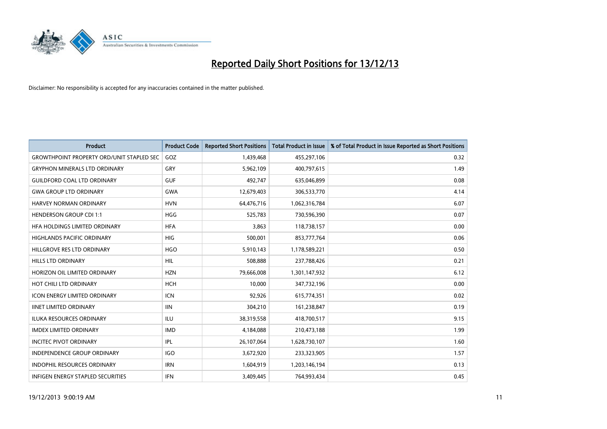

| <b>Product</b>                                   | <b>Product Code</b> | <b>Reported Short Positions</b> | <b>Total Product in Issue</b> | % of Total Product in Issue Reported as Short Positions |
|--------------------------------------------------|---------------------|---------------------------------|-------------------------------|---------------------------------------------------------|
| <b>GROWTHPOINT PROPERTY ORD/UNIT STAPLED SEC</b> | GOZ                 | 1,439,468                       | 455,297,106                   | 0.32                                                    |
| <b>GRYPHON MINERALS LTD ORDINARY</b>             | GRY                 | 5,962,109                       | 400,797,615                   | 1.49                                                    |
| <b>GUILDFORD COAL LTD ORDINARY</b>               | <b>GUF</b>          | 492,747                         | 635,046,899                   | 0.08                                                    |
| <b>GWA GROUP LTD ORDINARY</b>                    | <b>GWA</b>          | 12,679,403                      | 306,533,770                   | 4.14                                                    |
| HARVEY NORMAN ORDINARY                           | <b>HVN</b>          | 64,476,716                      | 1,062,316,784                 | 6.07                                                    |
| <b>HENDERSON GROUP CDI 1:1</b>                   | <b>HGG</b>          | 525,783                         | 730,596,390                   | 0.07                                                    |
| HFA HOLDINGS LIMITED ORDINARY                    | <b>HFA</b>          | 3.863                           | 118,738,157                   | 0.00                                                    |
| <b>HIGHLANDS PACIFIC ORDINARY</b>                | <b>HIG</b>          | 500,001                         | 853,777,764                   | 0.06                                                    |
| HILLGROVE RES LTD ORDINARY                       | <b>HGO</b>          | 5,910,143                       | 1,178,589,221                 | 0.50                                                    |
| <b>HILLS LTD ORDINARY</b>                        | <b>HIL</b>          | 508,888                         | 237,788,426                   | 0.21                                                    |
| HORIZON OIL LIMITED ORDINARY                     | <b>HZN</b>          | 79,666,008                      | 1,301,147,932                 | 6.12                                                    |
| HOT CHILI LTD ORDINARY                           | <b>HCH</b>          | 10,000                          | 347,732,196                   | 0.00                                                    |
| <b>ICON ENERGY LIMITED ORDINARY</b>              | <b>ICN</b>          | 92,926                          | 615,774,351                   | 0.02                                                    |
| <b>IINET LIMITED ORDINARY</b>                    | <b>IIN</b>          | 304,210                         | 161,238,847                   | 0.19                                                    |
| <b>ILUKA RESOURCES ORDINARY</b>                  | ILU                 | 38,319,558                      | 418,700,517                   | 9.15                                                    |
| <b>IMDEX LIMITED ORDINARY</b>                    | <b>IMD</b>          | 4,184,088                       | 210,473,188                   | 1.99                                                    |
| <b>INCITEC PIVOT ORDINARY</b>                    | IPL                 | 26,107,064                      | 1,628,730,107                 | 1.60                                                    |
| INDEPENDENCE GROUP ORDINARY                      | <b>IGO</b>          | 3,672,920                       | 233,323,905                   | 1.57                                                    |
| <b>INDOPHIL RESOURCES ORDINARY</b>               | <b>IRN</b>          | 1,604,919                       | 1,203,146,194                 | 0.13                                                    |
| <b>INFIGEN ENERGY STAPLED SECURITIES</b>         | <b>IFN</b>          | 3,409,445                       | 764,993,434                   | 0.45                                                    |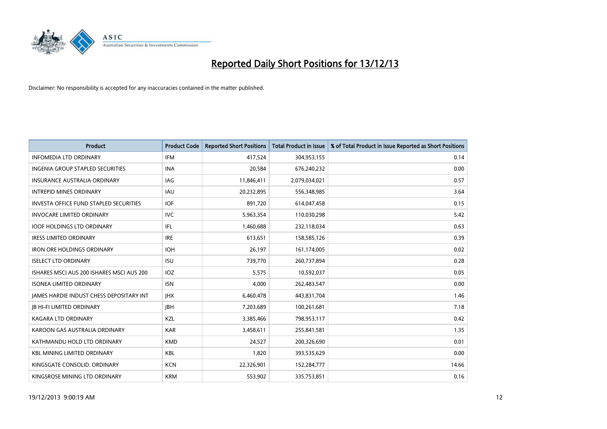

| <b>Product</b>                                | <b>Product Code</b> | <b>Reported Short Positions</b> | <b>Total Product in Issue</b> | % of Total Product in Issue Reported as Short Positions |
|-----------------------------------------------|---------------------|---------------------------------|-------------------------------|---------------------------------------------------------|
| <b>INFOMEDIA LTD ORDINARY</b>                 | <b>IFM</b>          | 417,524                         | 304,953,155                   | 0.14                                                    |
| INGENIA GROUP STAPLED SECURITIES              | <b>INA</b>          | 20,584                          | 676,240,232                   | 0.00                                                    |
| <b>INSURANCE AUSTRALIA ORDINARY</b>           | <b>IAG</b>          | 11,846,411                      | 2,079,034,021                 | 0.57                                                    |
| <b>INTREPID MINES ORDINARY</b>                | <b>IAU</b>          | 20,232,895                      | 556,348,985                   | 3.64                                                    |
| <b>INVESTA OFFICE FUND STAPLED SECURITIES</b> | <b>IOF</b>          | 891,720                         | 614,047,458                   | 0.15                                                    |
| <b>INVOCARE LIMITED ORDINARY</b>              | <b>IVC</b>          | 5,963,354                       | 110,030,298                   | 5.42                                                    |
| <b>IOOF HOLDINGS LTD ORDINARY</b>             | IFL                 | 1,460,688                       | 232,118,034                   | 0.63                                                    |
| <b>IRESS LIMITED ORDINARY</b>                 | <b>IRE</b>          | 613,651                         | 158,585,126                   | 0.39                                                    |
| <b>IRON ORE HOLDINGS ORDINARY</b>             | <b>IOH</b>          | 26,197                          | 161,174,005                   | 0.02                                                    |
| <b>ISELECT LTD ORDINARY</b>                   | <b>ISU</b>          | 739,770                         | 260,737,894                   | 0.28                                                    |
| ISHARES MSCI AUS 200 ISHARES MSCI AUS 200     | <b>IOZ</b>          | 5,575                           | 10,592,037                    | 0.05                                                    |
| <b>ISONEA LIMITED ORDINARY</b>                | <b>ISN</b>          | 4,000                           | 262,483,547                   | 0.00                                                    |
| JAMES HARDIE INDUST CHESS DEPOSITARY INT      | <b>IHX</b>          | 6,460,478                       | 443,831,704                   | 1.46                                                    |
| <b>JB HI-FI LIMITED ORDINARY</b>              | <b>JBH</b>          | 7,203,689                       | 100,261,681                   | 7.18                                                    |
| <b>KAGARA LTD ORDINARY</b>                    | KZL                 | 3,385,466                       | 798,953,117                   | 0.42                                                    |
| KAROON GAS AUSTRALIA ORDINARY                 | <b>KAR</b>          | 3,458,611                       | 255,841,581                   | 1.35                                                    |
| KATHMANDU HOLD LTD ORDINARY                   | <b>KMD</b>          | 24,527                          | 200,326,690                   | 0.01                                                    |
| <b>KBL MINING LIMITED ORDINARY</b>            | <b>KBL</b>          | 1,820                           | 393,535,629                   | 0.00                                                    |
| KINGSGATE CONSOLID. ORDINARY                  | <b>KCN</b>          | 22,326,901                      | 152,284,777                   | 14.66                                                   |
| KINGSROSE MINING LTD ORDINARY                 | <b>KRM</b>          | 553,902                         | 335,753,851                   | 0.16                                                    |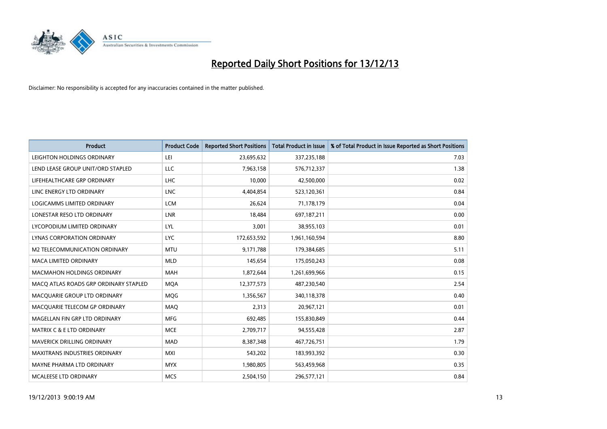

| <b>Product</b>                        | <b>Product Code</b> | <b>Reported Short Positions</b> | <b>Total Product in Issue</b> | % of Total Product in Issue Reported as Short Positions |
|---------------------------------------|---------------------|---------------------------------|-------------------------------|---------------------------------------------------------|
| LEIGHTON HOLDINGS ORDINARY            | LEI                 | 23,695,632                      | 337,235,188                   | 7.03                                                    |
| LEND LEASE GROUP UNIT/ORD STAPLED     | LLC                 | 7,963,158                       | 576,712,337                   | 1.38                                                    |
| LIFEHEALTHCARE GRP ORDINARY           | <b>LHC</b>          | 10,000                          | 42,500,000                    | 0.02                                                    |
| LINC ENERGY LTD ORDINARY              | <b>LNC</b>          | 4,404,854                       | 523,120,361                   | 0.84                                                    |
| LOGICAMMS LIMITED ORDINARY            | <b>LCM</b>          | 26,624                          | 71,178,179                    | 0.04                                                    |
| LONESTAR RESO LTD ORDINARY            | <b>LNR</b>          | 18,484                          | 697,187,211                   | 0.00                                                    |
| LYCOPODIUM LIMITED ORDINARY           | LYL                 | 3,001                           | 38,955,103                    | 0.01                                                    |
| LYNAS CORPORATION ORDINARY            | <b>LYC</b>          | 172,653,592                     | 1,961,160,594                 | 8.80                                                    |
| M2 TELECOMMUNICATION ORDINARY         | <b>MTU</b>          | 9,171,788                       | 179,384,685                   | 5.11                                                    |
| <b>MACA LIMITED ORDINARY</b>          | <b>MLD</b>          | 145,654                         | 175,050,243                   | 0.08                                                    |
| MACMAHON HOLDINGS ORDINARY            | <b>MAH</b>          | 1,872,644                       | 1,261,699,966                 | 0.15                                                    |
| MACO ATLAS ROADS GRP ORDINARY STAPLED | <b>MQA</b>          | 12,377,573                      | 487,230,540                   | 2.54                                                    |
| MACQUARIE GROUP LTD ORDINARY          | MQG                 | 1,356,567                       | 340,118,378                   | 0.40                                                    |
| MACQUARIE TELECOM GP ORDINARY         | MAQ                 | 2,313                           | 20,967,121                    | 0.01                                                    |
| MAGELLAN FIN GRP LTD ORDINARY         | <b>MFG</b>          | 692,485                         | 155,830,849                   | 0.44                                                    |
| MATRIX C & E LTD ORDINARY             | <b>MCE</b>          | 2,709,717                       | 94,555,428                    | 2.87                                                    |
| <b>MAVERICK DRILLING ORDINARY</b>     | <b>MAD</b>          | 8,387,348                       | 467,726,751                   | 1.79                                                    |
| <b>MAXITRANS INDUSTRIES ORDINARY</b>  | <b>MXI</b>          | 543,202                         | 183,993,392                   | 0.30                                                    |
| MAYNE PHARMA LTD ORDINARY             | <b>MYX</b>          | 1,980,805                       | 563,459,968                   | 0.35                                                    |
| <b>MCALEESE LTD ORDINARY</b>          | <b>MCS</b>          | 2,504,150                       | 296,577,121                   | 0.84                                                    |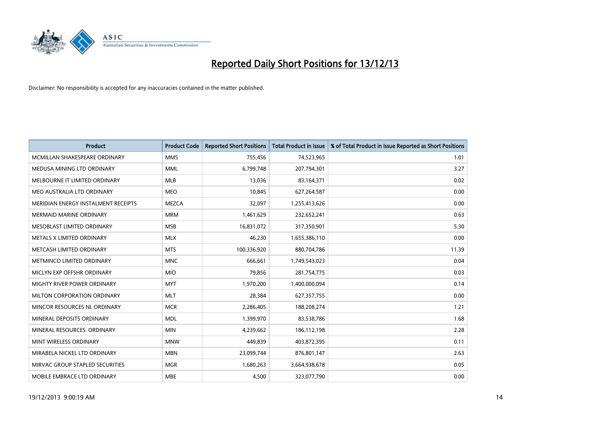

| <b>Product</b>                      | <b>Product Code</b> | <b>Reported Short Positions</b> | <b>Total Product in Issue</b> | % of Total Product in Issue Reported as Short Positions |
|-------------------------------------|---------------------|---------------------------------|-------------------------------|---------------------------------------------------------|
| MCMILLAN SHAKESPEARE ORDINARY       | <b>MMS</b>          | 755,456                         | 74,523,965                    | 1.01                                                    |
| MEDUSA MINING LTD ORDINARY          | <b>MML</b>          | 6,799,748                       | 207,794,301                   | 3.27                                                    |
| MELBOURNE IT LIMITED ORDINARY       | <b>MLB</b>          | 13,036                          | 83,164,371                    | 0.02                                                    |
| MEO AUSTRALIA LTD ORDINARY          | <b>MEO</b>          | 10,845                          | 627,264,587                   | 0.00                                                    |
| MERIDIAN ENERGY INSTALMENT RECEIPTS | <b>MEZCA</b>        | 32,097                          | 1,255,413,626                 | 0.00                                                    |
| <b>MERMAID MARINE ORDINARY</b>      | <b>MRM</b>          | 1,461,629                       | 232,652,241                   | 0.63                                                    |
| MESOBLAST LIMITED ORDINARY          | <b>MSB</b>          | 16,831,072                      | 317,350,901                   | 5.30                                                    |
| METALS X LIMITED ORDINARY           | <b>MLX</b>          | 46,230                          | 1,655,386,110                 | 0.00                                                    |
| METCASH LIMITED ORDINARY            | <b>MTS</b>          | 100,336,920                     | 880,704,786                   | 11.39                                                   |
| METMINCO LIMITED ORDINARY           | <b>MNC</b>          | 666,661                         | 1,749,543,023                 | 0.04                                                    |
| MICLYN EXP OFFSHR ORDINARY          | <b>MIO</b>          | 79,856                          | 281,754,775                   | 0.03                                                    |
| MIGHTY RIVER POWER ORDINARY         | <b>MYT</b>          | 1,970,200                       | 1,400,000,094                 | 0.14                                                    |
| MILTON CORPORATION ORDINARY         | <b>MLT</b>          | 28,384                          | 627,357,755                   | 0.00                                                    |
| MINCOR RESOURCES NL ORDINARY        | <b>MCR</b>          | 2,286,405                       | 188,208,274                   | 1.21                                                    |
| MINERAL DEPOSITS ORDINARY           | <b>MDL</b>          | 1,399,970                       | 83,538,786                    | 1.68                                                    |
| MINERAL RESOURCES. ORDINARY         | <b>MIN</b>          | 4,239,662                       | 186,112,198                   | 2.28                                                    |
| MINT WIRELESS ORDINARY              | <b>MNW</b>          | 449,839                         | 403,872,395                   | 0.11                                                    |
| MIRABELA NICKEL LTD ORDINARY        | <b>MBN</b>          | 23,099,744                      | 876,801,147                   | 2.63                                                    |
| MIRVAC GROUP STAPLED SECURITIES     | <b>MGR</b>          | 1,680,263                       | 3,664,938,678                 | 0.05                                                    |
| MOBILE EMBRACE LTD ORDINARY         | <b>MBE</b>          | 4,500                           | 323,077,790                   | 0.00                                                    |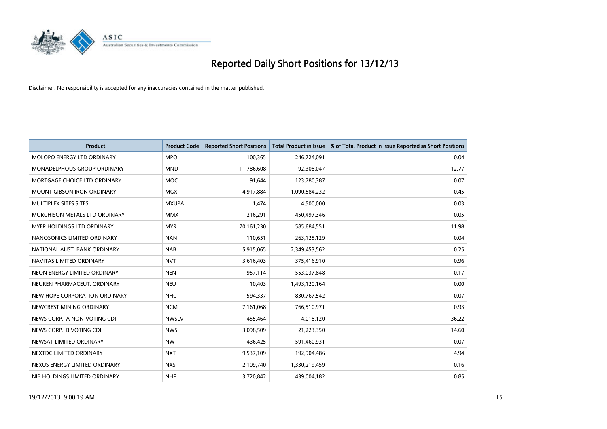

| <b>Product</b>                    | <b>Product Code</b> | <b>Reported Short Positions</b> | <b>Total Product in Issue</b> | % of Total Product in Issue Reported as Short Positions |
|-----------------------------------|---------------------|---------------------------------|-------------------------------|---------------------------------------------------------|
| MOLOPO ENERGY LTD ORDINARY        | <b>MPO</b>          | 100,365                         | 246,724,091                   | 0.04                                                    |
| MONADELPHOUS GROUP ORDINARY       | <b>MND</b>          | 11,786,608                      | 92,308,047                    | 12.77                                                   |
| MORTGAGE CHOICE LTD ORDINARY      | <b>MOC</b>          | 91,644                          | 123,780,387                   | 0.07                                                    |
| <b>MOUNT GIBSON IRON ORDINARY</b> | <b>MGX</b>          | 4,917,884                       | 1,090,584,232                 | 0.45                                                    |
| MULTIPLEX SITES SITES             | <b>MXUPA</b>        | 1,474                           | 4,500,000                     | 0.03                                                    |
| MURCHISON METALS LTD ORDINARY     | <b>MMX</b>          | 216,291                         | 450,497,346                   | 0.05                                                    |
| MYER HOLDINGS LTD ORDINARY        | <b>MYR</b>          | 70,161,230                      | 585,684,551                   | 11.98                                                   |
| NANOSONICS LIMITED ORDINARY       | <b>NAN</b>          | 110,651                         | 263,125,129                   | 0.04                                                    |
| NATIONAL AUST, BANK ORDINARY      | <b>NAB</b>          | 5,915,065                       | 2,349,453,562                 | 0.25                                                    |
| NAVITAS LIMITED ORDINARY          | <b>NVT</b>          | 3,616,403                       | 375,416,910                   | 0.96                                                    |
| NEON ENERGY LIMITED ORDINARY      | <b>NEN</b>          | 957,114                         | 553,037,848                   | 0.17                                                    |
| NEUREN PHARMACEUT, ORDINARY       | <b>NEU</b>          | 10,403                          | 1,493,120,164                 | 0.00                                                    |
| NEW HOPE CORPORATION ORDINARY     | <b>NHC</b>          | 594,337                         | 830,767,542                   | 0.07                                                    |
| NEWCREST MINING ORDINARY          | <b>NCM</b>          | 7,161,068                       | 766,510,971                   | 0.93                                                    |
| NEWS CORP A NON-VOTING CDI        | <b>NWSLV</b>        | 1,455,464                       | 4,018,120                     | 36.22                                                   |
| NEWS CORP B VOTING CDI            | <b>NWS</b>          | 3,098,509                       | 21,223,350                    | 14.60                                                   |
| NEWSAT LIMITED ORDINARY           | <b>NWT</b>          | 436,425                         | 591,460,931                   | 0.07                                                    |
| NEXTDC LIMITED ORDINARY           | <b>NXT</b>          | 9,537,109                       | 192,904,486                   | 4.94                                                    |
| NEXUS ENERGY LIMITED ORDINARY     | <b>NXS</b>          | 2,109,740                       | 1,330,219,459                 | 0.16                                                    |
| NIB HOLDINGS LIMITED ORDINARY     | <b>NHF</b>          | 3,720,842                       | 439,004,182                   | 0.85                                                    |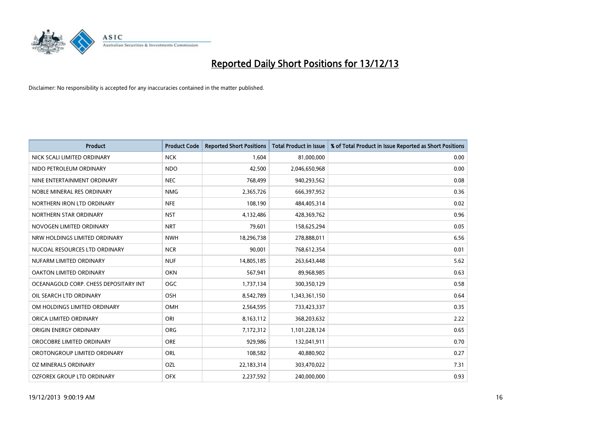

| <b>Product</b>                        | <b>Product Code</b> | <b>Reported Short Positions</b> | <b>Total Product in Issue</b> | % of Total Product in Issue Reported as Short Positions |
|---------------------------------------|---------------------|---------------------------------|-------------------------------|---------------------------------------------------------|
| NICK SCALI LIMITED ORDINARY           | <b>NCK</b>          | 1,604                           | 81,000,000                    | 0.00                                                    |
| NIDO PETROLEUM ORDINARY               | <b>NDO</b>          | 42,500                          | 2,046,650,968                 | 0.00                                                    |
| NINE ENTERTAINMENT ORDINARY           | <b>NEC</b>          | 768,499                         | 940,293,562                   | 0.08                                                    |
| NOBLE MINERAL RES ORDINARY            | <b>NMG</b>          | 2,365,726                       | 666,397,952                   | 0.36                                                    |
| NORTHERN IRON LTD ORDINARY            | <b>NFE</b>          | 108,190                         | 484,405,314                   | 0.02                                                    |
| NORTHERN STAR ORDINARY                | <b>NST</b>          | 4,132,486                       | 428,369,762                   | 0.96                                                    |
| NOVOGEN LIMITED ORDINARY              | <b>NRT</b>          | 79,601                          | 158,625,294                   | 0.05                                                    |
| NRW HOLDINGS LIMITED ORDINARY         | <b>NWH</b>          | 18,296,738                      | 278,888,011                   | 6.56                                                    |
| NUCOAL RESOURCES LTD ORDINARY         | <b>NCR</b>          | 90,001                          | 768,612,354                   | 0.01                                                    |
| NUFARM LIMITED ORDINARY               | <b>NUF</b>          | 14,805,185                      | 263,643,448                   | 5.62                                                    |
| OAKTON LIMITED ORDINARY               | <b>OKN</b>          | 567,941                         | 89,968,985                    | 0.63                                                    |
| OCEANAGOLD CORP. CHESS DEPOSITARY INT | <b>OGC</b>          | 1,737,134                       | 300,350,129                   | 0.58                                                    |
| OIL SEARCH LTD ORDINARY               | OSH                 | 8,542,789                       | 1,343,361,150                 | 0.64                                                    |
| OM HOLDINGS LIMITED ORDINARY          | OMH                 | 2,564,595                       | 733,423,337                   | 0.35                                                    |
| ORICA LIMITED ORDINARY                | ORI                 | 8,163,112                       | 368,203,632                   | 2.22                                                    |
| ORIGIN ENERGY ORDINARY                | <b>ORG</b>          | 7,172,312                       | 1,101,228,124                 | 0.65                                                    |
| OROCOBRE LIMITED ORDINARY             | <b>ORE</b>          | 929,986                         | 132,041,911                   | 0.70                                                    |
| OROTONGROUP LIMITED ORDINARY          | ORL                 | 108,582                         | 40,880,902                    | 0.27                                                    |
| OZ MINERALS ORDINARY                  | OZL                 | 22,183,314                      | 303,470,022                   | 7.31                                                    |
| OZFOREX GROUP LTD ORDINARY            | <b>OFX</b>          | 2,237,592                       | 240,000,000                   | 0.93                                                    |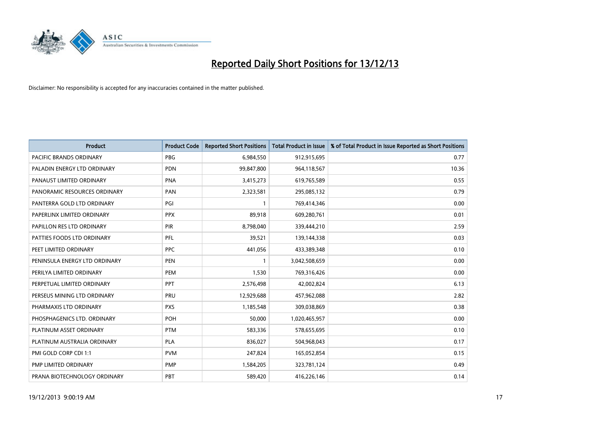

| <b>Product</b>                 | <b>Product Code</b> | <b>Reported Short Positions</b> | <b>Total Product in Issue</b> | % of Total Product in Issue Reported as Short Positions |
|--------------------------------|---------------------|---------------------------------|-------------------------------|---------------------------------------------------------|
| <b>PACIFIC BRANDS ORDINARY</b> | <b>PBG</b>          | 6,984,550                       | 912,915,695                   | 0.77                                                    |
| PALADIN ENERGY LTD ORDINARY    | <b>PDN</b>          | 99,847,800                      | 964,118,567                   | 10.36                                                   |
| PANAUST LIMITED ORDINARY       | <b>PNA</b>          | 3,415,273                       | 619,765,589                   | 0.55                                                    |
| PANORAMIC RESOURCES ORDINARY   | PAN                 | 2,323,581                       | 295,085,132                   | 0.79                                                    |
| PANTERRA GOLD LTD ORDINARY     | PGI                 | $\mathbf{1}$                    | 769,414,346                   | 0.00                                                    |
| PAPERLINX LIMITED ORDINARY     | <b>PPX</b>          | 89,918                          | 609,280,761                   | 0.01                                                    |
| PAPILLON RES LTD ORDINARY      | PIR                 | 8,798,040                       | 339,444,210                   | 2.59                                                    |
| PATTIES FOODS LTD ORDINARY     | PFL                 | 39,521                          | 139,144,338                   | 0.03                                                    |
| PEET LIMITED ORDINARY          | <b>PPC</b>          | 441,056                         | 433,389,348                   | 0.10                                                    |
| PENINSULA ENERGY LTD ORDINARY  | <b>PEN</b>          | $\mathbf{1}$                    | 3,042,508,659                 | 0.00                                                    |
| PERILYA LIMITED ORDINARY       | <b>PEM</b>          | 1,530                           | 769,316,426                   | 0.00                                                    |
| PERPETUAL LIMITED ORDINARY     | PPT                 | 2,576,498                       | 42,002,824                    | 6.13                                                    |
| PERSEUS MINING LTD ORDINARY    | PRU                 | 12,929,688                      | 457,962,088                   | 2.82                                                    |
| PHARMAXIS LTD ORDINARY         | <b>PXS</b>          | 1,185,548                       | 309,038,869                   | 0.38                                                    |
| PHOSPHAGENICS LTD. ORDINARY    | POH                 | 50,000                          | 1,020,465,957                 | 0.00                                                    |
| PLATINUM ASSET ORDINARY        | <b>PTM</b>          | 583,336                         | 578,655,695                   | 0.10                                                    |
| PLATINUM AUSTRALIA ORDINARY    | <b>PLA</b>          | 836,027                         | 504,968,043                   | 0.17                                                    |
| PMI GOLD CORP CDI 1:1          | <b>PVM</b>          | 247,824                         | 165,052,854                   | 0.15                                                    |
| PMP LIMITED ORDINARY           | <b>PMP</b>          | 1,584,205                       | 323,781,124                   | 0.49                                                    |
| PRANA BIOTECHNOLOGY ORDINARY   | <b>PBT</b>          | 589,420                         | 416,226,146                   | 0.14                                                    |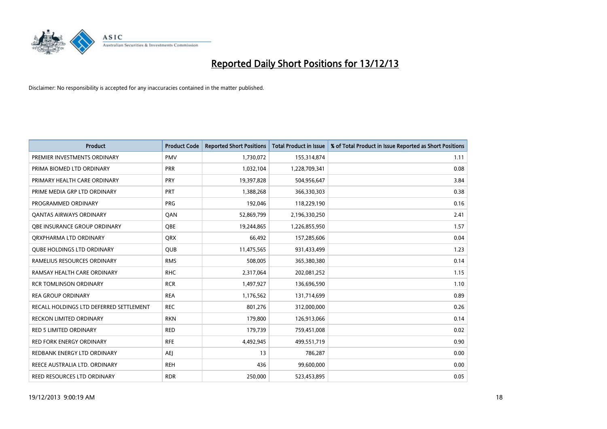

| <b>Product</b>                          | <b>Product Code</b> | <b>Reported Short Positions</b> | <b>Total Product in Issue</b> | % of Total Product in Issue Reported as Short Positions |
|-----------------------------------------|---------------------|---------------------------------|-------------------------------|---------------------------------------------------------|
| PREMIER INVESTMENTS ORDINARY            | <b>PMV</b>          | 1,730,072                       | 155,314,874                   | 1.11                                                    |
| PRIMA BIOMED LTD ORDINARY               | <b>PRR</b>          | 1,032,104                       | 1,228,709,341                 | 0.08                                                    |
| PRIMARY HEALTH CARE ORDINARY            | <b>PRY</b>          | 19,397,828                      | 504,956,647                   | 3.84                                                    |
| PRIME MEDIA GRP LTD ORDINARY            | <b>PRT</b>          | 1,388,268                       | 366,330,303                   | 0.38                                                    |
| PROGRAMMED ORDINARY                     | <b>PRG</b>          | 192,046                         | 118,229,190                   | 0.16                                                    |
| <b>QANTAS AIRWAYS ORDINARY</b>          | QAN                 | 52,869,799                      | 2,196,330,250                 | 2.41                                                    |
| <b>OBE INSURANCE GROUP ORDINARY</b>     | <b>OBE</b>          | 19,244,865                      | 1,226,855,950                 | 1.57                                                    |
| ORXPHARMA LTD ORDINARY                  | <b>QRX</b>          | 66,492                          | 157,285,606                   | 0.04                                                    |
| <b>QUBE HOLDINGS LTD ORDINARY</b>       | QUB                 | 11,475,565                      | 931,433,499                   | 1.23                                                    |
| RAMELIUS RESOURCES ORDINARY             | <b>RMS</b>          | 508,005                         | 365,380,380                   | 0.14                                                    |
| RAMSAY HEALTH CARE ORDINARY             | <b>RHC</b>          | 2,317,064                       | 202,081,252                   | 1.15                                                    |
| <b>RCR TOMLINSON ORDINARY</b>           | <b>RCR</b>          | 1,497,927                       | 136,696,590                   | 1.10                                                    |
| <b>REA GROUP ORDINARY</b>               | <b>REA</b>          | 1,176,562                       | 131,714,699                   | 0.89                                                    |
| RECALL HOLDINGS LTD DEFERRED SETTLEMENT | <b>REC</b>          | 801,276                         | 312,000,000                   | 0.26                                                    |
| <b>RECKON LIMITED ORDINARY</b>          | <b>RKN</b>          | 179,800                         | 126,913,066                   | 0.14                                                    |
| RED 5 LIMITED ORDINARY                  | <b>RED</b>          | 179,739                         | 759,451,008                   | 0.02                                                    |
| <b>RED FORK ENERGY ORDINARY</b>         | <b>RFE</b>          | 4,492,945                       | 499,551,719                   | 0.90                                                    |
| REDBANK ENERGY LTD ORDINARY             | AEJ                 | 13                              | 786,287                       | 0.00                                                    |
| REECE AUSTRALIA LTD. ORDINARY           | <b>REH</b>          | 436                             | 99,600,000                    | 0.00                                                    |
| REED RESOURCES LTD ORDINARY             | <b>RDR</b>          | 250,000                         | 523,453,895                   | 0.05                                                    |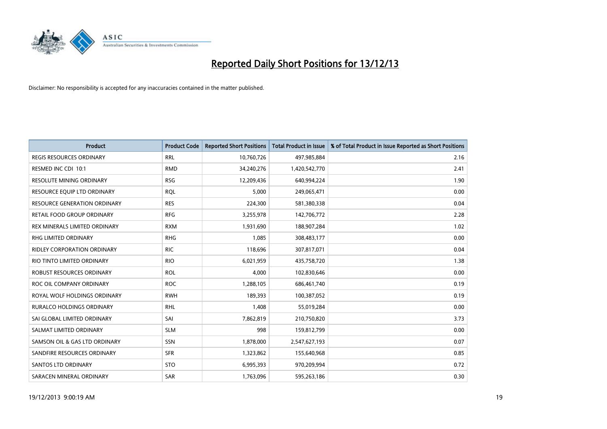

| <b>Product</b>                      | <b>Product Code</b> | <b>Reported Short Positions</b> | <b>Total Product in Issue</b> | % of Total Product in Issue Reported as Short Positions |
|-------------------------------------|---------------------|---------------------------------|-------------------------------|---------------------------------------------------------|
| <b>REGIS RESOURCES ORDINARY</b>     | <b>RRL</b>          | 10,760,726                      | 497,985,884                   | 2.16                                                    |
| RESMED INC CDI 10:1                 | <b>RMD</b>          | 34,240,276                      | 1,420,542,770                 | 2.41                                                    |
| <b>RESOLUTE MINING ORDINARY</b>     | <b>RSG</b>          | 12,209,436                      | 640,994,224                   | 1.90                                                    |
| RESOURCE EQUIP LTD ORDINARY         | <b>RQL</b>          | 5,000                           | 249,065,471                   | 0.00                                                    |
| <b>RESOURCE GENERATION ORDINARY</b> | <b>RES</b>          | 224,300                         | 581,380,338                   | 0.04                                                    |
| <b>RETAIL FOOD GROUP ORDINARY</b>   | <b>RFG</b>          | 3,255,978                       | 142,706,772                   | 2.28                                                    |
| REX MINERALS LIMITED ORDINARY       | <b>RXM</b>          | 1,931,690                       | 188,907,284                   | 1.02                                                    |
| RHG LIMITED ORDINARY                | <b>RHG</b>          | 1,085                           | 308,483,177                   | 0.00                                                    |
| <b>RIDLEY CORPORATION ORDINARY</b>  | <b>RIC</b>          | 118,696                         | 307,817,071                   | 0.04                                                    |
| RIO TINTO LIMITED ORDINARY          | <b>RIO</b>          | 6,021,959                       | 435,758,720                   | 1.38                                                    |
| ROBUST RESOURCES ORDINARY           | <b>ROL</b>          | 4,000                           | 102,830,646                   | 0.00                                                    |
| ROC OIL COMPANY ORDINARY            | <b>ROC</b>          | 1,288,105                       | 686,461,740                   | 0.19                                                    |
| ROYAL WOLF HOLDINGS ORDINARY        | <b>RWH</b>          | 189,393                         | 100,387,052                   | 0.19                                                    |
| RURALCO HOLDINGS ORDINARY           | <b>RHL</b>          | 1,408                           | 55,019,284                    | 0.00                                                    |
| SAI GLOBAL LIMITED ORDINARY         | SAI                 | 7,862,819                       | 210,750,820                   | 3.73                                                    |
| SALMAT LIMITED ORDINARY             | <b>SLM</b>          | 998                             | 159,812,799                   | 0.00                                                    |
| SAMSON OIL & GAS LTD ORDINARY       | SSN                 | 1,878,000                       | 2,547,627,193                 | 0.07                                                    |
| SANDFIRE RESOURCES ORDINARY         | <b>SFR</b>          | 1,323,862                       | 155,640,968                   | 0.85                                                    |
| SANTOS LTD ORDINARY                 | <b>STO</b>          | 6,995,393                       | 970,209,994                   | 0.72                                                    |
| SARACEN MINERAL ORDINARY            | SAR                 | 1,763,096                       | 595,263,186                   | 0.30                                                    |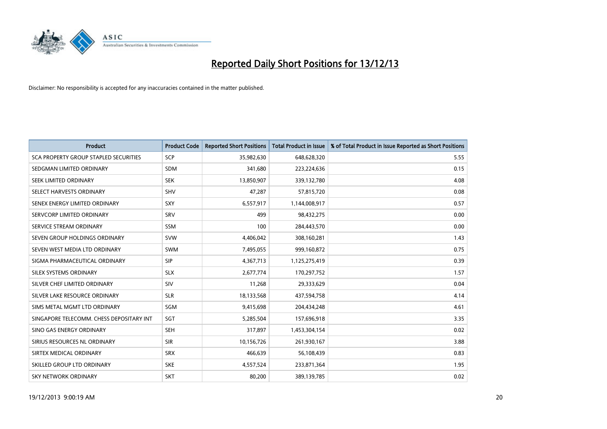

| <b>Product</b>                           | <b>Product Code</b> | <b>Reported Short Positions</b> | <b>Total Product in Issue</b> | % of Total Product in Issue Reported as Short Positions |
|------------------------------------------|---------------------|---------------------------------|-------------------------------|---------------------------------------------------------|
| SCA PROPERTY GROUP STAPLED SECURITIES    | <b>SCP</b>          | 35,982,630                      | 648,628,320                   | 5.55                                                    |
| SEDGMAN LIMITED ORDINARY                 | <b>SDM</b>          | 341,680                         | 223,224,636                   | 0.15                                                    |
| SEEK LIMITED ORDINARY                    | <b>SEK</b>          | 13,850,907                      | 339,132,780                   | 4.08                                                    |
| SELECT HARVESTS ORDINARY                 | <b>SHV</b>          | 47,287                          | 57,815,720                    | 0.08                                                    |
| SENEX ENERGY LIMITED ORDINARY            | <b>SXY</b>          | 6,557,917                       | 1,144,008,917                 | 0.57                                                    |
| SERVCORP LIMITED ORDINARY                | SRV                 | 499                             | 98,432,275                    | 0.00                                                    |
| SERVICE STREAM ORDINARY                  | SSM                 | 100                             | 284,443,570                   | 0.00                                                    |
| SEVEN GROUP HOLDINGS ORDINARY            | <b>SVW</b>          | 4,406,042                       | 308,160,281                   | 1.43                                                    |
| SEVEN WEST MEDIA LTD ORDINARY            | <b>SWM</b>          | 7,495,055                       | 999,160,872                   | 0.75                                                    |
| SIGMA PHARMACEUTICAL ORDINARY            | <b>SIP</b>          | 4,367,713                       | 1,125,275,419                 | 0.39                                                    |
| SILEX SYSTEMS ORDINARY                   | <b>SLX</b>          | 2,677,774                       | 170,297,752                   | 1.57                                                    |
| SILVER CHEF LIMITED ORDINARY             | SIV                 | 11,268                          | 29,333,629                    | 0.04                                                    |
| SILVER LAKE RESOURCE ORDINARY            | <b>SLR</b>          | 18,133,568                      | 437,594,758                   | 4.14                                                    |
| SIMS METAL MGMT LTD ORDINARY             | SGM                 | 9,415,698                       | 204,434,248                   | 4.61                                                    |
| SINGAPORE TELECOMM. CHESS DEPOSITARY INT | SGT                 | 5,285,504                       | 157,696,918                   | 3.35                                                    |
| SINO GAS ENERGY ORDINARY                 | <b>SEH</b>          | 317,897                         | 1,453,304,154                 | 0.02                                                    |
| SIRIUS RESOURCES NL ORDINARY             | <b>SIR</b>          | 10,156,726                      | 261,930,167                   | 3.88                                                    |
| SIRTEX MEDICAL ORDINARY                  | <b>SRX</b>          | 466,639                         | 56,108,439                    | 0.83                                                    |
| SKILLED GROUP LTD ORDINARY               | <b>SKE</b>          | 4,557,524                       | 233,871,364                   | 1.95                                                    |
| <b>SKY NETWORK ORDINARY</b>              | <b>SKT</b>          | 80,200                          | 389,139,785                   | 0.02                                                    |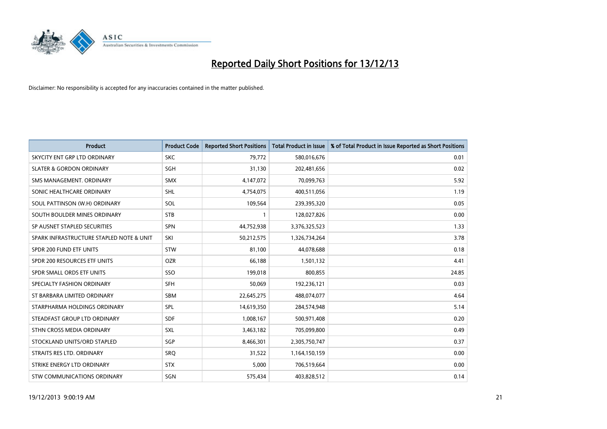

| <b>Product</b>                           | <b>Product Code</b> | <b>Reported Short Positions</b> | <b>Total Product in Issue</b> | % of Total Product in Issue Reported as Short Positions |
|------------------------------------------|---------------------|---------------------------------|-------------------------------|---------------------------------------------------------|
| SKYCITY ENT GRP LTD ORDINARY             | <b>SKC</b>          | 79,772                          | 580,016,676                   | 0.01                                                    |
| <b>SLATER &amp; GORDON ORDINARY</b>      | SGH                 | 31,130                          | 202,481,656                   | 0.02                                                    |
| SMS MANAGEMENT, ORDINARY                 | <b>SMX</b>          | 4,147,072                       | 70,099,763                    | 5.92                                                    |
| SONIC HEALTHCARE ORDINARY                | SHL                 | 4,754,075                       | 400,511,056                   | 1.19                                                    |
| SOUL PATTINSON (W.H) ORDINARY            | SOL                 | 109,564                         | 239,395,320                   | 0.05                                                    |
| SOUTH BOULDER MINES ORDINARY             | <b>STB</b>          | $\mathbf{1}$                    | 128,027,826                   | 0.00                                                    |
| SP AUSNET STAPLED SECURITIES             | <b>SPN</b>          | 44,752,938                      | 3,376,325,523                 | 1.33                                                    |
| SPARK INFRASTRUCTURE STAPLED NOTE & UNIT | SKI                 | 50,212,575                      | 1,326,734,264                 | 3.78                                                    |
| SPDR 200 FUND ETF UNITS                  | <b>STW</b>          | 81,100                          | 44,078,688                    | 0.18                                                    |
| SPDR 200 RESOURCES ETF UNITS             | <b>OZR</b>          | 66,188                          | 1,501,132                     | 4.41                                                    |
| SPDR SMALL ORDS ETF UNITS                | SSO                 | 199,018                         | 800,855                       | 24.85                                                   |
| SPECIALTY FASHION ORDINARY               | <b>SFH</b>          | 50,069                          | 192,236,121                   | 0.03                                                    |
| ST BARBARA LIMITED ORDINARY              | <b>SBM</b>          | 22,645,275                      | 488,074,077                   | 4.64                                                    |
| STARPHARMA HOLDINGS ORDINARY             | SPL                 | 14,619,350                      | 284,574,948                   | 5.14                                                    |
| STEADFAST GROUP LTD ORDINARY             | <b>SDF</b>          | 1,008,167                       | 500,971,408                   | 0.20                                                    |
| STHN CROSS MEDIA ORDINARY                | SXL                 | 3,463,182                       | 705,099,800                   | 0.49                                                    |
| STOCKLAND UNITS/ORD STAPLED              | SGP                 | 8,466,301                       | 2,305,750,747                 | 0.37                                                    |
| STRAITS RES LTD. ORDINARY                | <b>SRQ</b>          | 31,522                          | 1,164,150,159                 | 0.00                                                    |
| STRIKE ENERGY LTD ORDINARY               | <b>STX</b>          | 5,000                           | 706,519,664                   | 0.00                                                    |
| STW COMMUNICATIONS ORDINARY              | SGN                 | 575,434                         | 403,828,512                   | 0.14                                                    |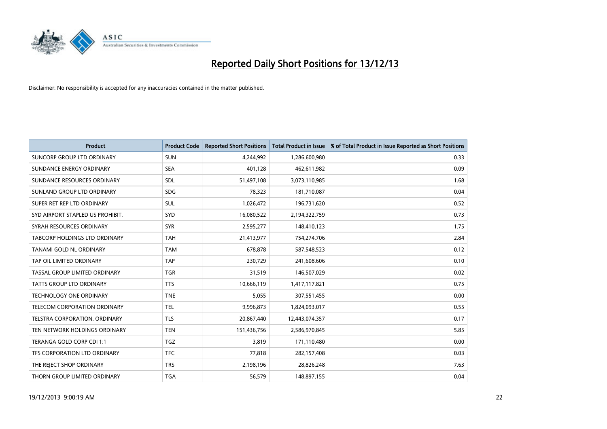

| <b>Product</b>                   | <b>Product Code</b> | <b>Reported Short Positions</b> | <b>Total Product in Issue</b> | % of Total Product in Issue Reported as Short Positions |
|----------------------------------|---------------------|---------------------------------|-------------------------------|---------------------------------------------------------|
| SUNCORP GROUP LTD ORDINARY       | <b>SUN</b>          | 4,244,992                       | 1,286,600,980                 | 0.33                                                    |
| SUNDANCE ENERGY ORDINARY         | <b>SEA</b>          | 401,128                         | 462,611,982                   | 0.09                                                    |
| SUNDANCE RESOURCES ORDINARY      | SDL                 | 51,497,108                      | 3,073,110,985                 | 1.68                                                    |
| SUNLAND GROUP LTD ORDINARY       | <b>SDG</b>          | 78,323                          | 181,710,087                   | 0.04                                                    |
| SUPER RET REP LTD ORDINARY       | SUL                 | 1,026,472                       | 196,731,620                   | 0.52                                                    |
| SYD AIRPORT STAPLED US PROHIBIT. | SYD                 | 16,080,522                      | 2,194,322,759                 | 0.73                                                    |
| SYRAH RESOURCES ORDINARY         | <b>SYR</b>          | 2,595,277                       | 148,410,123                   | 1.75                                                    |
| TABCORP HOLDINGS LTD ORDINARY    | <b>TAH</b>          | 21,413,977                      | 754,274,706                   | 2.84                                                    |
| TANAMI GOLD NL ORDINARY          | <b>TAM</b>          | 678,878                         | 587,548,523                   | 0.12                                                    |
| TAP OIL LIMITED ORDINARY         | <b>TAP</b>          | 230,729                         | 241,608,606                   | 0.10                                                    |
| TASSAL GROUP LIMITED ORDINARY    | <b>TGR</b>          | 31,519                          | 146,507,029                   | 0.02                                                    |
| <b>TATTS GROUP LTD ORDINARY</b>  | <b>TTS</b>          | 10,666,119                      | 1,417,117,821                 | 0.75                                                    |
| TECHNOLOGY ONE ORDINARY          | <b>TNE</b>          | 5,055                           | 307,551,455                   | 0.00                                                    |
| TELECOM CORPORATION ORDINARY     | <b>TEL</b>          | 9,996,873                       | 1,824,093,017                 | 0.55                                                    |
| TELSTRA CORPORATION, ORDINARY    | <b>TLS</b>          | 20,867,440                      | 12,443,074,357                | 0.17                                                    |
| TEN NETWORK HOLDINGS ORDINARY    | <b>TEN</b>          | 151,436,756                     | 2,586,970,845                 | 5.85                                                    |
| TERANGA GOLD CORP CDI 1:1        | <b>TGZ</b>          | 3,819                           | 171,110,480                   | 0.00                                                    |
| TFS CORPORATION LTD ORDINARY     | <b>TFC</b>          | 77,818                          | 282,157,408                   | 0.03                                                    |
| THE REJECT SHOP ORDINARY         | <b>TRS</b>          | 2,198,196                       | 28,826,248                    | 7.63                                                    |
| THORN GROUP LIMITED ORDINARY     | <b>TGA</b>          | 56,579                          | 148,897,155                   | 0.04                                                    |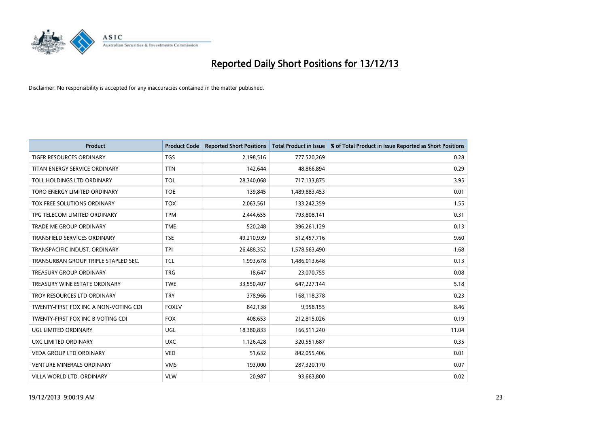

| <b>Product</b>                        | <b>Product Code</b> | <b>Reported Short Positions</b> | <b>Total Product in Issue</b> | % of Total Product in Issue Reported as Short Positions |
|---------------------------------------|---------------------|---------------------------------|-------------------------------|---------------------------------------------------------|
| <b>TIGER RESOURCES ORDINARY</b>       | <b>TGS</b>          | 2,198,516                       | 777,520,269                   | 0.28                                                    |
| TITAN ENERGY SERVICE ORDINARY         | <b>TTN</b>          | 142,644                         | 48,866,894                    | 0.29                                                    |
| TOLL HOLDINGS LTD ORDINARY            | <b>TOL</b>          | 28,340,068                      | 717,133,875                   | 3.95                                                    |
| TORO ENERGY LIMITED ORDINARY          | <b>TOE</b>          | 139,845                         | 1,489,883,453                 | 0.01                                                    |
| TOX FREE SOLUTIONS ORDINARY           | <b>TOX</b>          | 2,063,561                       | 133,242,359                   | 1.55                                                    |
| TPG TELECOM LIMITED ORDINARY          | <b>TPM</b>          | 2,444,655                       | 793,808,141                   | 0.31                                                    |
| TRADE ME GROUP ORDINARY               | <b>TME</b>          | 520,248                         | 396,261,129                   | 0.13                                                    |
| TRANSFIELD SERVICES ORDINARY          | <b>TSE</b>          | 49,210,939                      | 512,457,716                   | 9.60                                                    |
| TRANSPACIFIC INDUST, ORDINARY         | <b>TPI</b>          | 26,488,352                      | 1,578,563,490                 | 1.68                                                    |
| TRANSURBAN GROUP TRIPLE STAPLED SEC.  | <b>TCL</b>          | 1,993,678                       | 1,486,013,648                 | 0.13                                                    |
| TREASURY GROUP ORDINARY               | <b>TRG</b>          | 18,647                          | 23,070,755                    | 0.08                                                    |
| TREASURY WINE ESTATE ORDINARY         | <b>TWE</b>          | 33,550,407                      | 647,227,144                   | 5.18                                                    |
| TROY RESOURCES LTD ORDINARY           | <b>TRY</b>          | 378,966                         | 168,118,378                   | 0.23                                                    |
| TWENTY-FIRST FOX INC A NON-VOTING CDI | <b>FOXLV</b>        | 842,138                         | 9,958,155                     | 8.46                                                    |
| TWENTY-FIRST FOX INC B VOTING CDI     | <b>FOX</b>          | 408,653                         | 212,815,026                   | 0.19                                                    |
| UGL LIMITED ORDINARY                  | UGL                 | 18,380,833                      | 166,511,240                   | 11.04                                                   |
| UXC LIMITED ORDINARY                  | <b>UXC</b>          | 1,126,428                       | 320,551,687                   | 0.35                                                    |
| <b>VEDA GROUP LTD ORDINARY</b>        | <b>VED</b>          | 51,632                          | 842,055,406                   | 0.01                                                    |
| <b>VENTURE MINERALS ORDINARY</b>      | <b>VMS</b>          | 193,000                         | 287,320,170                   | 0.07                                                    |
| VILLA WORLD LTD. ORDINARY             | <b>VLW</b>          | 20,987                          | 93,663,800                    | 0.02                                                    |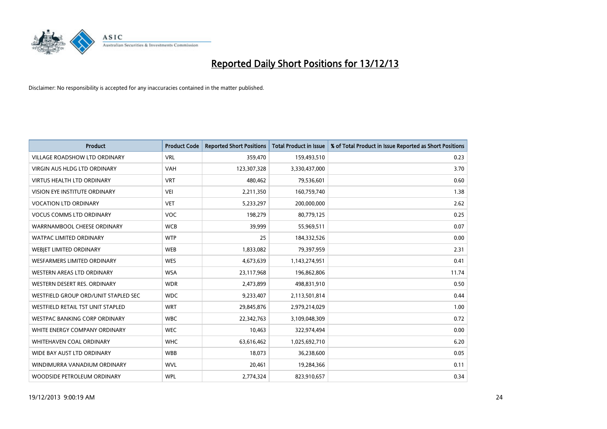

| <b>Product</b>                       | <b>Product Code</b> | <b>Reported Short Positions</b> | <b>Total Product in Issue</b> | % of Total Product in Issue Reported as Short Positions |
|--------------------------------------|---------------------|---------------------------------|-------------------------------|---------------------------------------------------------|
| <b>VILLAGE ROADSHOW LTD ORDINARY</b> | <b>VRL</b>          | 359,470                         | 159,493,510                   | 0.23                                                    |
| <b>VIRGIN AUS HLDG LTD ORDINARY</b>  | <b>VAH</b>          | 123,307,328                     | 3,330,437,000                 | 3.70                                                    |
| <b>VIRTUS HEALTH LTD ORDINARY</b>    | <b>VRT</b>          | 480,462                         | 79,536,601                    | 0.60                                                    |
| VISION EYE INSTITUTE ORDINARY        | VEI                 | 2,211,350                       | 160,759,740                   | 1.38                                                    |
| <b>VOCATION LTD ORDINARY</b>         | <b>VET</b>          | 5,233,297                       | 200,000,000                   | 2.62                                                    |
| <b>VOCUS COMMS LTD ORDINARY</b>      | <b>VOC</b>          | 198,279                         | 80,779,125                    | 0.25                                                    |
| WARRNAMBOOL CHEESE ORDINARY          | <b>WCB</b>          | 39,999                          | 55,969,511                    | 0.07                                                    |
| <b>WATPAC LIMITED ORDINARY</b>       | <b>WTP</b>          | 25                              | 184,332,526                   | 0.00                                                    |
| WEBIET LIMITED ORDINARY              | <b>WEB</b>          | 1,833,082                       | 79,397,959                    | 2.31                                                    |
| WESFARMERS LIMITED ORDINARY          | <b>WES</b>          | 4,673,639                       | 1,143,274,951                 | 0.41                                                    |
| WESTERN AREAS LTD ORDINARY           | <b>WSA</b>          | 23,117,968                      | 196,862,806                   | 11.74                                                   |
| WESTERN DESERT RES. ORDINARY         | <b>WDR</b>          | 2,473,899                       | 498,831,910                   | 0.50                                                    |
| WESTFIELD GROUP ORD/UNIT STAPLED SEC | <b>WDC</b>          | 9,233,407                       | 2,113,501,814                 | 0.44                                                    |
| WESTFIELD RETAIL TST UNIT STAPLED    | <b>WRT</b>          | 29,845,876                      | 2,979,214,029                 | 1.00                                                    |
| <b>WESTPAC BANKING CORP ORDINARY</b> | <b>WBC</b>          | 22,342,763                      | 3,109,048,309                 | 0.72                                                    |
| WHITE ENERGY COMPANY ORDINARY        | <b>WEC</b>          | 10,463                          | 322,974,494                   | 0.00                                                    |
| WHITEHAVEN COAL ORDINARY             | <b>WHC</b>          | 63,616,462                      | 1,025,692,710                 | 6.20                                                    |
| WIDE BAY AUST LTD ORDINARY           | <b>WBB</b>          | 18,073                          | 36,238,600                    | 0.05                                                    |
| WINDIMURRA VANADIUM ORDINARY         | <b>WVL</b>          | 20,461                          | 19,284,366                    | 0.11                                                    |
| WOODSIDE PETROLEUM ORDINARY          | <b>WPL</b>          | 2,774,324                       | 823,910,657                   | 0.34                                                    |